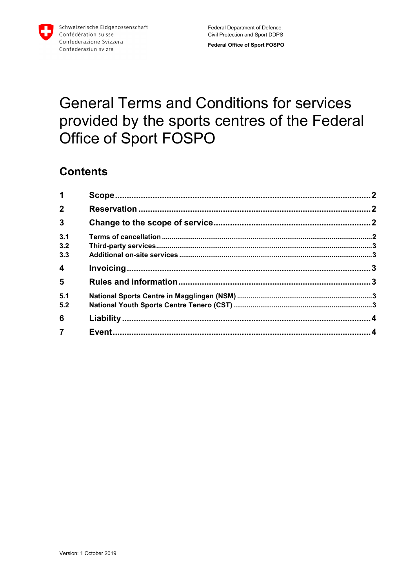

# **General Terms and Conditions for services** provided by the sports centres of the Federal Office of Sport FOSPO

### **Contents**

| $\mathbf 1$    |  |
|----------------|--|
| 2 <sup>1</sup> |  |
| $\overline{3}$ |  |
| 3.1            |  |
| 3.2            |  |
| 3.3            |  |
| 4              |  |
| 5              |  |
| 5.1            |  |
| 5.2            |  |
| 6              |  |
| $\overline{7}$ |  |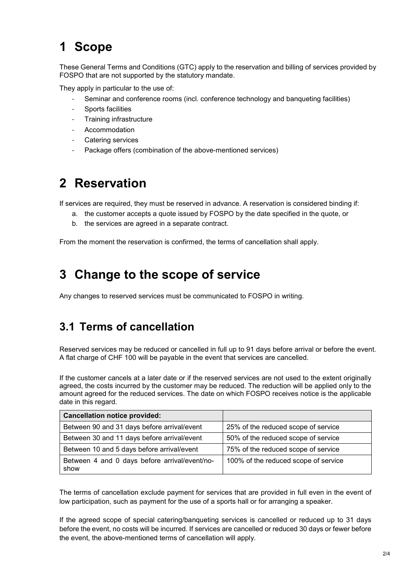## <span id="page-1-0"></span>**1 Scope**

These General Terms and Conditions (GTC) apply to the reservation and billing of services provided by FOSPO that are not supported by the statutory mandate.

They apply in particular to the use of:

- Seminar and conference rooms (incl. conference technology and banqueting facilities)
- Sports facilities
- Training infrastructure
- **Accommodation**
- Catering services
- <span id="page-1-1"></span>- Package offers (combination of the above-mentioned services)

### **2 Reservation**

If services are required, they must be reserved in advance. A reservation is considered binding if:

- a. the customer accepts a quote issued by FOSPO by the date specified in the quote, or
- b. the services are agreed in a separate contract.

<span id="page-1-2"></span>From the moment the reservation is confirmed, the terms of cancellation shall apply.

### **3 Change to the scope of service**

<span id="page-1-3"></span>Any changes to reserved services must be communicated to FOSPO in writing.

#### **3.1 Terms of cancellation**

Reserved services may be reduced or cancelled in full up to 91 days before arrival or before the event. A flat charge of CHF 100 will be payable in the event that services are cancelled.

If the customer cancels at a later date or if the reserved services are not used to the extent originally agreed, the costs incurred by the customer may be reduced. The reduction will be applied only to the amount agreed for the reduced services. The date on which FOSPO receives notice is the applicable date in this regard.

| <b>Cancellation notice provided:</b>                  |                                      |
|-------------------------------------------------------|--------------------------------------|
| Between 90 and 31 days before arrival/event           | 25% of the reduced scope of service  |
| Between 30 and 11 days before arrival/event           | 50% of the reduced scope of service  |
| Between 10 and 5 days before arrival/event            | 75% of the reduced scope of service  |
| Between 4 and 0 days before arrival/event/no-<br>show | 100% of the reduced scope of service |

The terms of cancellation exclude payment for services that are provided in full even in the event of low participation, such as payment for the use of a sports hall or for arranging a speaker.

If the agreed scope of special catering/banqueting services is cancelled or reduced up to 31 days before the event, no costs will be incurred. If services are cancelled or reduced 30 days or fewer before the event, the above-mentioned terms of cancellation will apply.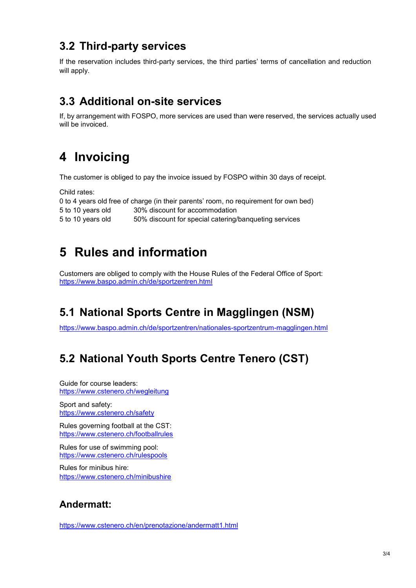### <span id="page-2-0"></span>**3.2 Third-party services**

If the reservation includes third-party services, the third parties' terms of cancellation and reduction will apply.

#### <span id="page-2-1"></span>**3.3 Additional on-site services**

<span id="page-2-2"></span>If, by arrangement with FOSPO, more services are used than were reserved, the services actually used will be invoiced.

### **4 Invoicing**

The customer is obliged to pay the invoice issued by FOSPO within 30 days of receipt.

Child rates:

|                   | 0 to 4 years old free of charge (in their parents' room, no requirement for own bed) |
|-------------------|--------------------------------------------------------------------------------------|
| 5 to 10 years old | 30% discount for accommodation                                                       |
| 5 to 10 years old | 50% discount for special catering/banqueting services                                |

### <span id="page-2-3"></span>**5 Rules and information**

<span id="page-2-4"></span>Customers are obliged to comply with the House Rules of the Federal Office of Sport: <https://www.baspo.admin.ch/de/sportzentren.html>

### **5.1 National Sports Centre in Magglingen (NSM)**

<span id="page-2-5"></span><https://www.baspo.admin.ch/de/sportzentren/nationales-sportzentrum-magglingen.html>

### **5.2 National Youth Sports Centre Tenero (CST)**

Guide for course leaders: <https://www.cstenero.ch/wegleitung>

Sport and safety: <https://www.cstenero.ch/safety>

Rules governing football at the CST: <https://www.cstenero.ch/footballrules>

Rules for use of swimming pool: <https://www.cstenero.ch/rulespools>

Rules for minibus hire: <https://www.cstenero.ch/minibushire>

#### **Andermatt:**

<https://www.cstenero.ch/en/prenotazione/andermatt1.html>